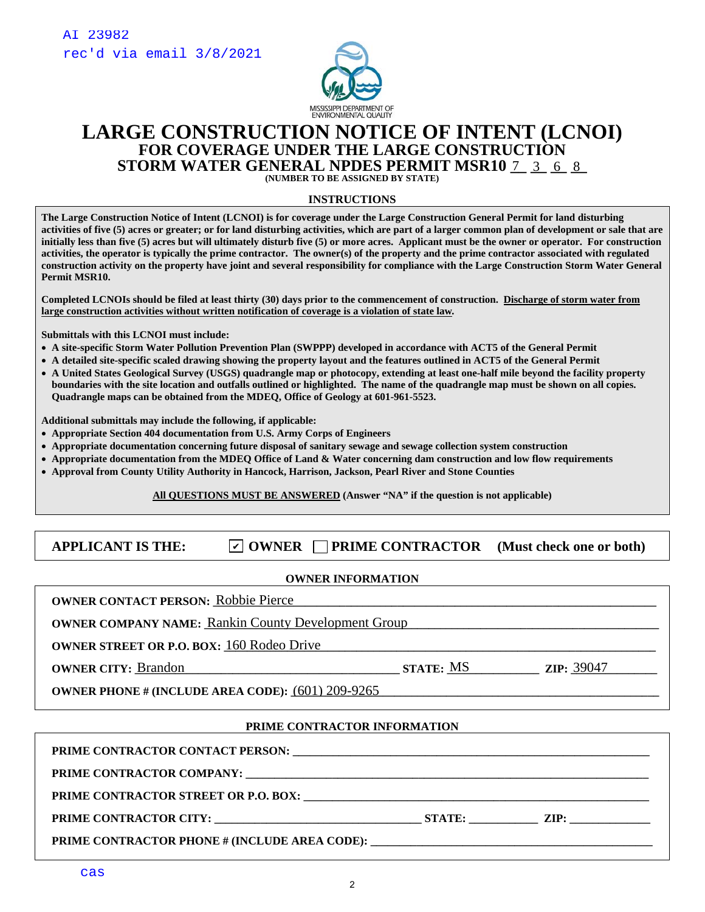

## **LARGE CONSTRUCTION NOTICE OF INTENT (LCNOI) FOR COVERAGE UNDER THE LARGE CONSTRUCTION STORM WATER GENERAL NPDES PERMIT MSR10 7 3 6 8**

**(NUMBER TO BE ASSIGNED BY STATE)** 

#### **INSTRUCTIONS**

**The Large Construction Notice of Intent (LCNOI) is for coverage under the Large Construction General Permit for land disturbing activities of five (5) acres or greater; or for land disturbing activities, which are part of a larger common plan of development or sale that are initially less than five (5) acres but will ultimately disturb five (5) or more acres. Applicant must be the owner or operator. For construction activities, the operator is typically the prime contractor. The owner(s) of the property and the prime contractor associated with regulated construction activity on the property have joint and several responsibility for compliance with the Large Construction Storm Water General Permit MSR10.** 

**Completed LCNOIs should be filed at least thirty (30) days prior to the commencement of construction. Discharge of storm water from large construction activities without written notification of coverage is a violation of state law***.*

**Submittals with this LCNOI must include:** 

- **A site-specific Storm Water Pollution Prevention Plan (SWPPP) developed in accordance with ACT5 of the General Permit**
- **A detailed site-specific scaled drawing showing the property layout and the features outlined in ACT5 of the General Permit**
- **A United States Geological Survey (USGS) quadrangle map or photocopy, extending at least one-half mile beyond the facility property boundaries with the site location and outfalls outlined or highlighted. The name of the quadrangle map must be shown on all copies. Quadrangle maps can be obtained from the MDEQ, Office of Geology at 601-961-5523.**

**Additional submittals may include the following, if applicable:** 

- **Appropriate Section 404 documentation from U.S. Army Corps of Engineers**
- **Appropriate documentation concerning future disposal of sanitary sewage and sewage collection system construction**
- **Appropriate documentation from the MDEQ Office of Land & Water concerning dam construction and low flow requirements**
- **Approval from County Utility Authority in Hancock, Harrison, Jackson, Pearl River and Stone Counties**

**All QUESTIONS MUST BE ANSWERED (Answer "NA" if the question is not applicable)** 

## APPLICANT IS THE:  $\Box$  OWNER  $\Box$  PRIME CONTRACTOR (Must check one or both)

#### **OWNER INFORMATION**

| <b>OWNER CONTACT PERSON: Robbie Pierce</b>                 |           |                     |  |  |
|------------------------------------------------------------|-----------|---------------------|--|--|
| <b>OWNER COMPANY NAME:</b> Rankin County Development Group |           |                     |  |  |
| <b>OWNER STREET OR P.O. BOX: 160 Rodeo Drive</b>           |           |                     |  |  |
| <b>OWNER CITY: Brandon</b>                                 | STATE: MS | $\text{ZIP}: 39047$ |  |  |
| <b>OWNER PHONE # (INCLUDE AREA CODE): (601) 209-9265</b>   |           |                     |  |  |
|                                                            |           |                     |  |  |

#### **PRIME CONTRACTOR INFORMATION**

| <b>PRIME CONTRACTOR CITY:</b>                 | STATE: ZIP: |
|-----------------------------------------------|-------------|
| PRIME CONTRACTOR PHONE # (INCLUDE AREA CODE): |             |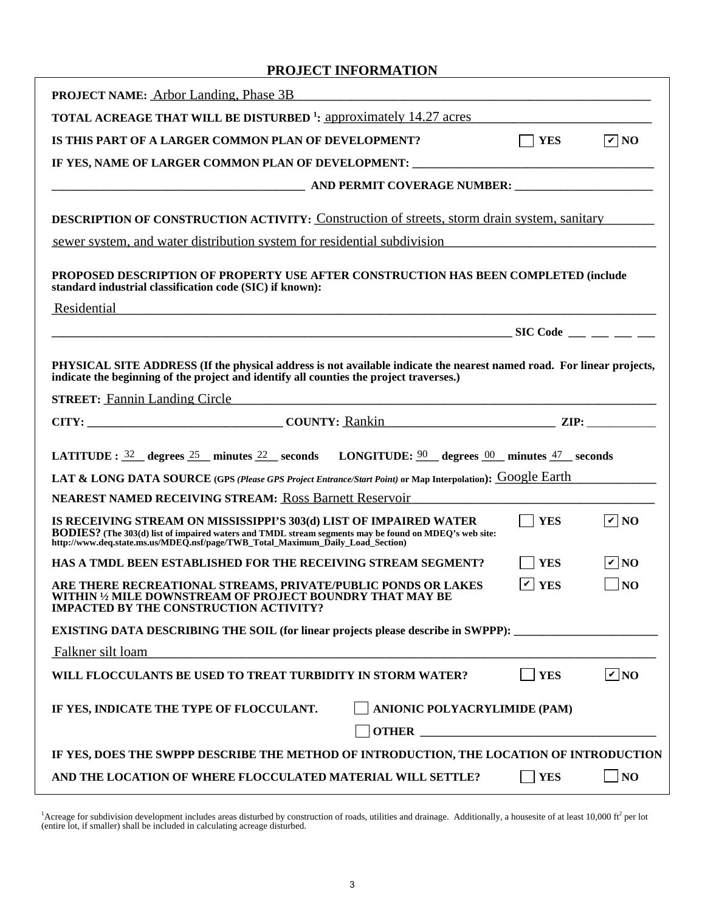### **PROJECT INFORMATION**

| <b>PROJECT NAME:</b> Arbor Landing, Phase 3B <b>Source Archainson</b> Manual Archaeology and Archaeology and Archaeology and Archaeology and Archaeology and Archaeology and Archaeology and Archaeology and Archaeology and Archaeology                      |                       |                   |
|---------------------------------------------------------------------------------------------------------------------------------------------------------------------------------------------------------------------------------------------------------------|-----------------------|-------------------|
| <b>TOTAL ACREAGE THAT WILL BE DISTURBED</b> <sup>1</sup> : approximately 14.27 acres                                                                                                                                                                          |                       |                   |
| IS THIS PART OF A LARGER COMMON PLAN OF DEVELOPMENT?                                                                                                                                                                                                          | $\Box$ YES            | $\sqrt{v}$ NO     |
| IF YES, NAME OF LARGER COMMON PLAN OF DEVELOPMENT: ______________________________                                                                                                                                                                             |                       |                   |
|                                                                                                                                                                                                                                                               |                       |                   |
| <b>DESCRIPTION OF CONSTRUCTION ACTIVITY:</b> Construction of streets, storm drain system, sanitary                                                                                                                                                            |                       |                   |
| sewer system, and water distribution system for residential subdivision                                                                                                                                                                                       |                       |                   |
| PROPOSED DESCRIPTION OF PROPERTY USE AFTER CONSTRUCTION HAS BEEN COMPLETED (include<br>standard industrial classification code (SIC) if known):<br>Residential                                                                                                |                       |                   |
|                                                                                                                                                                                                                                                               |                       |                   |
|                                                                                                                                                                                                                                                               |                       |                   |
| PHYSICAL SITE ADDRESS (If the physical address is not available indicate the nearest named road. For linear projects,<br>indicate the beginning of the project and identify all counties the project traverses.)                                              |                       |                   |
| STREET: Fannin Landing Circle The Communication of the Communication of the Communication of the Communication                                                                                                                                                |                       |                   |
|                                                                                                                                                                                                                                                               |                       |                   |
| LATITUDE: $\frac{32}{2}$ degrees $\frac{25}{2}$ minutes $\frac{22}{2}$ seconds LONGITUDE: $\frac{90}{2}$ degrees $\frac{00}{2}$ minutes $\frac{47}{2}$ seconds                                                                                                |                       |                   |
|                                                                                                                                                                                                                                                               |                       |                   |
| LAT & LONG DATA SOURCE (GPS (Please GPS Project Entrance/Start Point) or Map Interpolation): GOOgle Earth                                                                                                                                                     |                       |                   |
| <b>NEAREST NAMED RECEIVING STREAM: Ross Barnett Reservoir</b>                                                                                                                                                                                                 |                       |                   |
| IS RECEIVING STREAM ON MISSISSIPPI'S 303(d) LIST OF IMPAIRED WATER<br>BODIES? (The 303(d) list of impaired waters and TMDL stream segments may be found on MDEQ's web site:<br>http://www.deq.state.ms.us/MDEQ.nsf/page/TWB_Total_Maximum_Daily_Load_Section) | $\vert$ YES           | $\sqrt{\sqrt{N}}$ |
| HAS A TMDL BEEN ESTABLISHED FOR THE RECEIVING STREAM SEGMENT?                                                                                                                                                                                                 | <b>YES</b>            | $\sqrt{v}$ NO     |
| ARE THERE RECREATIONAL STREAMS, PRIVATE/PUBLIC PONDS OR LAKES<br>WITHIN 1/2 MILE DOWNSTREAM OF PROJECT BOUNDRY THAT MAY BE<br><b>IMPACTED BY THE CONSTRUCTION ACTIVITY?</b>                                                                                   | $\vert \nu \vert$ YES | $\Box$ NO         |
| <b>EXISTING DATA DESCRIBING THE SOIL (for linear projects please describe in SWPPP):</b>                                                                                                                                                                      |                       |                   |
| Falkner silt loam                                                                                                                                                                                                                                             |                       |                   |
| WILL FLOCCULANTS BE USED TO TREAT TURBIDITY IN STORM WATER?                                                                                                                                                                                                   | <b>YES</b>            | $\nabla$ NO       |
| ANIONIC POLYACRYLIMIDE (PAM)<br>IF YES, INDICATE THE TYPE OF FLOCCULANT.<br><b>OTHER CONSTRUCTER</b>                                                                                                                                                          |                       |                   |
| IF YES, DOES THE SWPPP DESCRIBE THE METHOD OF INTRODUCTION, THE LOCATION OF INTRODUCTION                                                                                                                                                                      |                       |                   |

<sup>1</sup>Acreage for subdivision development includes areas disturbed by construction of roads, utilities and drainage. Additionally, a housesite of at least 10,000 ft<sup>2</sup> per lot (entire lot, if smaller) shall be included in ca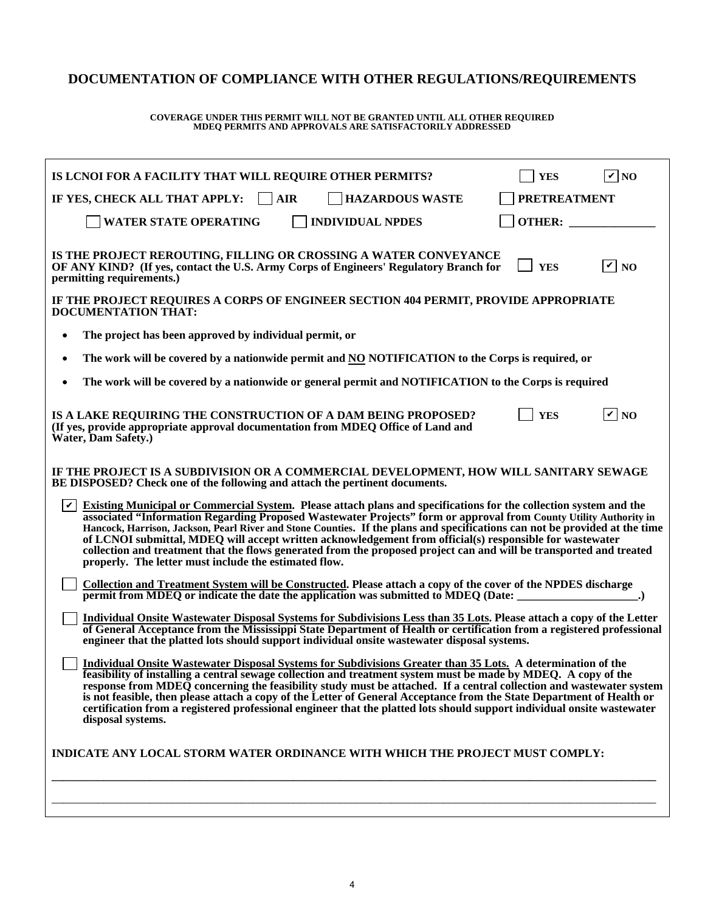## **DOCUMENTATION OF COMPLIANCE WITH OTHER REGULATIONS/REQUIREMENTS**

# **COVERAGE UNDER THIS PERMIT WILL NOT BE GRANTED UNTIL ALL OTHER REQUIRED MDEQ PERMITS AND APPROVALS ARE SATISFACTORILY ADDRESSED**

| IS LCNOI FOR A FACILITY THAT WILL REQUIRE OTHER PERMITS?                                                                                                                                                                                                                                                                                                                                                                                                                                                                                                                                                                                                                                       | <b>YES</b>          | $\overline{V}$ NO |  |  |  |  |
|------------------------------------------------------------------------------------------------------------------------------------------------------------------------------------------------------------------------------------------------------------------------------------------------------------------------------------------------------------------------------------------------------------------------------------------------------------------------------------------------------------------------------------------------------------------------------------------------------------------------------------------------------------------------------------------------|---------------------|-------------------|--|--|--|--|
| IF YES, CHECK ALL THAT APPLY: $\Box$ AIR<br><b>HAZARDOUS WASTE</b>                                                                                                                                                                                                                                                                                                                                                                                                                                                                                                                                                                                                                             | <b>PRETREATMENT</b> |                   |  |  |  |  |
| <b>WATER STATE OPERATING</b><br><b>INDIVIDUAL NPDES</b>                                                                                                                                                                                                                                                                                                                                                                                                                                                                                                                                                                                                                                        | OTHER:              |                   |  |  |  |  |
| IS THE PROJECT REROUTING, FILLING OR CROSSING A WATER CONVEYANCE<br>OF ANY KIND? (If yes, contact the U.S. Army Corps of Engineers' Regulatory Branch for<br>permitting requirements.)                                                                                                                                                                                                                                                                                                                                                                                                                                                                                                         | <b>YES</b>          | $\overline{V}$ NO |  |  |  |  |
| IF THE PROJECT REQUIRES A CORPS OF ENGINEER SECTION 404 PERMIT, PROVIDE APPROPRIATE<br><b>DOCUMENTATION THAT:</b>                                                                                                                                                                                                                                                                                                                                                                                                                                                                                                                                                                              |                     |                   |  |  |  |  |
| The project has been approved by individual permit, or<br>$\bullet$                                                                                                                                                                                                                                                                                                                                                                                                                                                                                                                                                                                                                            |                     |                   |  |  |  |  |
| The work will be covered by a nationwide permit and NO NOTIFICATION to the Corps is required, or<br>٠                                                                                                                                                                                                                                                                                                                                                                                                                                                                                                                                                                                          |                     |                   |  |  |  |  |
| The work will be covered by a nationwide or general permit and NOTIFICATION to the Corps is required<br>$\bullet$                                                                                                                                                                                                                                                                                                                                                                                                                                                                                                                                                                              |                     |                   |  |  |  |  |
| IS A LAKE REQUIRING THE CONSTRUCTION OF A DAM BEING PROPOSED?<br>(If yes, provide appropriate approval documentation from MDEQ Office of Land and<br>Water, Dam Safety.)                                                                                                                                                                                                                                                                                                                                                                                                                                                                                                                       | <b>YES</b>          | $ v $ NO          |  |  |  |  |
| IF THE PROJECT IS A SUBDIVISION OR A COMMERCIAL DEVELOPMENT, HOW WILL SANITARY SEWAGE<br>BE DISPOSED? Check one of the following and attach the pertinent documents.                                                                                                                                                                                                                                                                                                                                                                                                                                                                                                                           |                     |                   |  |  |  |  |
| $ \boldsymbol{v} $<br><b>Existing Municipal or Commercial System.</b> Please attach plans and specifications for the collection system and the<br>associated "Information Regarding Proposed Wastewater Projects" form or approval from County Utility Authority in<br>Hancock, Harrison, Jackson, Pearl River and Stone Counties. If the plans and specifications can not be provided at the time<br>of LCNOI submittal, MDEQ will accept written acknowledgement from official(s) responsible for wastewater<br>collection and treatment that the flows generated from the proposed project can and will be transported and treated<br>properly. The letter must include the estimated flow. |                     |                   |  |  |  |  |
| Collection and Treatment System will be Constructed. Please attach a copy of the cover of the NPDES discharge<br>permit from MDEQ or indicate the date the application was submitted to MDEQ (Date:<br>$\blacksquare$                                                                                                                                                                                                                                                                                                                                                                                                                                                                          |                     |                   |  |  |  |  |
| Individual Onsite Wastewater Disposal Systems for Subdivisions Less than 35 Lots. Please attach a copy of the Letter<br>of General Acceptance from the Mississippi State Department of Health or certification from a registered professional<br>engineer that the platted lots should support individual onsite wastewater disposal systems.                                                                                                                                                                                                                                                                                                                                                  |                     |                   |  |  |  |  |
| Individual Onsite Wastewater Disposal Systems for Subdivisions Greater than 35 Lots. A determination of the<br>feasibility of installing a central sewage collection and treatment system must be made by MDEQ. A copy of the<br>response from MDEQ concerning the feasibility study must be attached. If a central collection and wastewater system<br>is not feasible, then please attach a copy of the Letter of General Acceptance from the State Department of Health or<br>certification from a registered professional engineer that the platted lots should support individual onsite wastewater<br>disposal systems.                                                                  |                     |                   |  |  |  |  |
| <b>INDICATE ANY LOCAL STORM WATER ORDINANCE WITH WHICH THE PROJECT MUST COMPLY:</b>                                                                                                                                                                                                                                                                                                                                                                                                                                                                                                                                                                                                            |                     |                   |  |  |  |  |
|                                                                                                                                                                                                                                                                                                                                                                                                                                                                                                                                                                                                                                                                                                |                     |                   |  |  |  |  |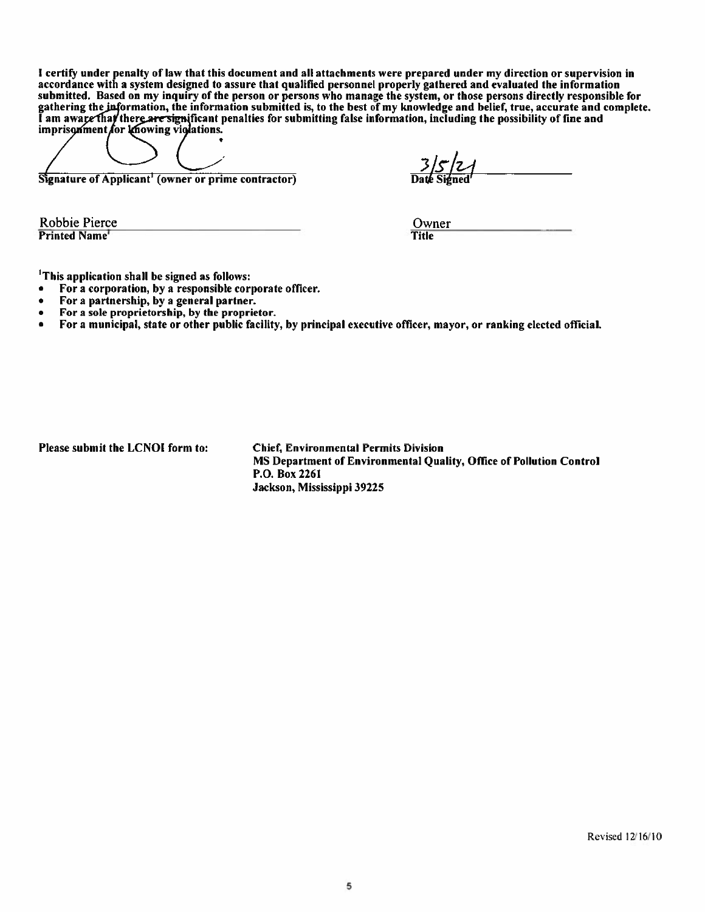I certify under penalty of law that this document and all attachments were prepared under my direction or supervision in accordance with a system designed to assure that qualified personnel properly gathered and evaluated the information submitted. Based on my inquiry of the person or persons who manage the system, or those persons directly responsible for gathering the information, the information submitted is, to the best of my knowledge and belief, true, accurate and complete.<br>I am aware that there are significant penalties for submitting false information, including the

Signature of Applicant<sup>1</sup> (owner or prime contractor)

<u>3 | 5 | 2 |</u><br>Pate Signed

Robbie Pierce Printed Name

Owner Title

<sup>1</sup>This application shall be signed as follows:

- For a corporation, by a responsible corporate officer.
- For a partnership, by a general partner.
- For a sole proprietorship, by the proprietor.  $\bullet$
- For a municipal, state or other public facility, by principal executive officer, mayor, or ranking elected official.  $\bullet$

Please submit the LCNOI form to:

**Chief, Environmental Permits Division** MS Department of Environmental Quality, Office of Pollution Control P.O. Box 2261 Jackson, Mississippi 39225